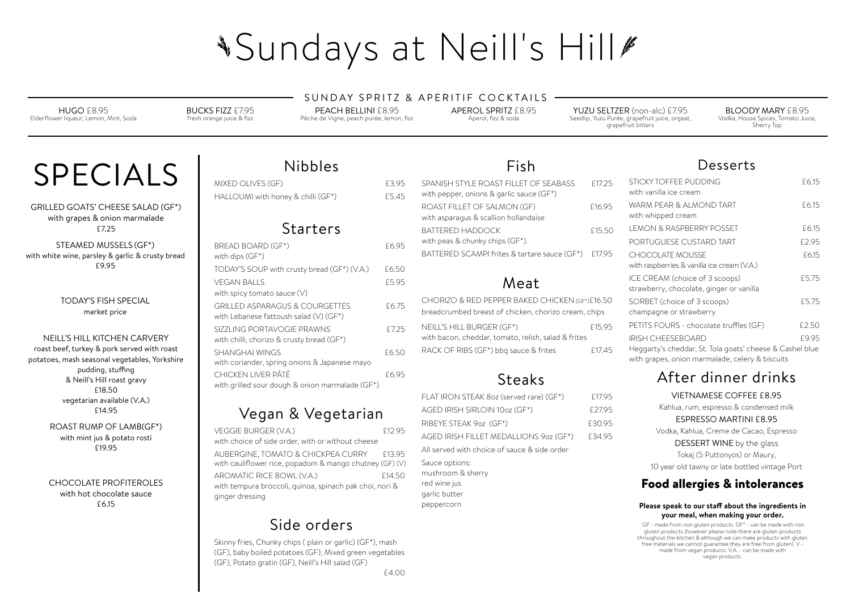# **\*Sundays at Neill's Hill#**

#### SUNDAY SPRITZ & APERITIF COCKTAILS

#### Food allergies & intolerances

#### **Please speak to our staf about the ingredients in your meal, when making your order.**

 GF - made from non gluten products. GF\* - can be made with non gluten products (however please note there are gluten products throughout the kitchen & although we can make products with gluten free materials we cannot guarantee they are free from gluten). V made from vegan products. V.A. - can be made with vegan products.

## Nibbles

MIXED OLIVES (GF) **EXAMINED** CLIVES (GF) HALLOUMI with honey & chilli (GF\*) E5.45

## Starters

| <b>BREAD BOARD (GF*)</b><br>with dips (GF*)                                           | £6.95 |
|---------------------------------------------------------------------------------------|-------|
| TODAY'S SOUP with crusty bread (GF*) (V.A.)                                           | £6.50 |
| VEGAN BALLS<br>with spicy tomato sauce (V)                                            | £5.95 |
| <b>GRILLED ASPARAGUS &amp; COURGETTES</b><br>with Lebanese fattoush salad $(V)$ (GF*) | £6.75 |
| SIZZLING PORTAVOGIE PRAWNS<br>with chilli, chorizo & crusty bread (GF*)               | £7.25 |
| SHANGHAI WINGS<br>with coriander, spring onions & Japanese mayo                       | £6.50 |
| CHICKEN LIVER PÂTÉ<br>with grilled sour dough & onion marmalade (GF*)                 | £6.95 |

## Vegan & Vegetarian

| VEGGIE BURGER (V.A.)                                                                          | £12.95 |
|-----------------------------------------------------------------------------------------------|--------|
| with choice of side order, with or without cheese                                             |        |
| AUBERGINE, TOMATO & CHICKPEA CURRY<br>with cauliflower rice, popadom & mango chutney (GF) (V) | £13.95 |
| AROMATIC RICE BOWL (V.A.)                                                                     | £14.50 |
| with tempura broccoli, quinoa, spinach pak choi, nori &<br>ginger dressing                    |        |
|                                                                                               |        |

## Side orders

Skinny fries, Chunky chips ( plain or garlic) (GF\*), mash (GF), baby boiled potatoes (GF), Mixed green vegetables (GF), Potato gratin (GF), Neill's Hill salad (GF)

#### Desserts

YUZU SELTZER (non-alc) £7.95 Seedlip, Yuzu Purée, grapefruit juice, orgeat, grapefruit bitters

| STICKY TOFFEE PUDDING                                    | £6.15 |
|----------------------------------------------------------|-------|
| with vanilla ice cream                                   |       |
| WARM PEAR & ALMOND TART                                  | £6.15 |
| with whipped cream                                       |       |
| <b>LEMON &amp; RASPBERRY POSSET</b>                      | £6.15 |
| PORTUGUESE CUSTARD TART                                  | £2.95 |
| <b>CHOCOLATE MOUSSE</b>                                  | £6.15 |
| with raspberries & vanilla ice cream (V.A.)              |       |
| ICE CREAM (choice of 3 scoops)                           | £5.75 |
| strawberry, chocolate, ginger or vanilla                 |       |
| SORBET (choice of 3 scoops)                              | £5.75 |
| champagne or strawberry                                  |       |
| PETITS FOURS - chocolate truffles (GF)                   | £2.50 |
| <b>IRISH CHEESEBOARD</b>                                 | £9.95 |
| Heggarty's cheddar, St. Tola goats' cheese & Cashel blue |       |
| with grapes, onion marmalade, celery & biscuits          |       |

### After dinner drinks

| SPANISH STYLE ROAST FILLET OF SEABASS<br>with pepper, onions & garlic sauce (GF*)                      | £17.25 | SHC<br>with                             |
|--------------------------------------------------------------------------------------------------------|--------|-----------------------------------------|
| ROAST FILLET OF SALMON (GF)<br>with asparagus & scallion hollandaise                                   | £16.95 | <b>WAF</b><br>with                      |
| <b>BATTERED HADDOCK</b><br>with peas & chunky chips (GF*).                                             | £15.50 | <b>LEM</b><br>POR                       |
| BATTERED SCAMPI frites & tartare sauce (GF*)                                                           | £17.95 | CHC<br>with                             |
| Meat                                                                                                   |        | <b>ICE</b><br>strav                     |
| CHORIZO & RED PEPPER BAKED CHICKEN (GF*)£16.50<br>breadcrumbed breast of chicken, chorizo cream, chips |        | SOR<br>char                             |
| NEILL'S HILL BURGER (GF*)                                                                              | £15.95 | PETI                                    |
| with bacon, cheddar, tomato, relish, salad & frites<br>RACK OF RIBS (GF*) bbq sauce & frites           | £17.45 | <b>IRISH</b><br>Heg <sub></sub><br>with |

VIETNAMESE COFFEE £8.95 Kahlua, rum, espresso & condensed milk ESPRESSO MARTINI £8.95 Vodka, Kahlua, Creme de Cacao, Espresso DESSERT WINE by the glass Tokaj (5 Puttonyos) or Maury, 10 year old tawny or late bottled vintage Port

## Fish

## Steaks

| AGED IRISH SIRLOIN 10oz (GF*)<br>£27.95                                            |  |
|------------------------------------------------------------------------------------|--|
|                                                                                    |  |
| RIBEYE STEAK 9oz (GF*)<br>£30.95                                                   |  |
| AGED IRISH FILLET MEDALLIONS 9oz (GF*)<br>£34.95                                   |  |
| All served with choice of sauce & side order                                       |  |
| Sauce options:<br>mushroom & sherry<br>red wine jus<br>garlic butter<br>peppercorn |  |

HUGO £8.95 Elderflower liqueur, Lemon, Mint, Soda BUCKS FIZZ £7.95 fresh orange juice & fizz

PEACH BELLINI £8.95 Péche de Vigne, peach purée, lemon, fizz APEROL SPRITZ £8.95 Aperol, fizz & soda

#### BLOODY MARY £8.95 Vodka, House Spices, Tomato Juice, Sherry Top

# SPECIALS

GRILLED GOATS' CHEESE SALAD (GF\*) with grapes & onion marmalade £7.25

STEAMED MUSSELS (GF\*) with white wine, parsley & garlic & crusty bread £9.95

> TODAY'S FISH SPECIAL market price

#### NEILL'S HILL KITCHEN CARVERY

roast beef, turkey & pork served with roast potatoes, mash seasonal vegetables, Yorkshire pudding, stuffing & Neill's Hill roast gravy £18.50 vegetarian available (V.A.) £14.95

> ROAST RUMP OF LAMB(GF\*) with mint jus & potato rosti £19.95

> CHOCOLATE PROFITEROLES with hot chocolate sauce £6.15